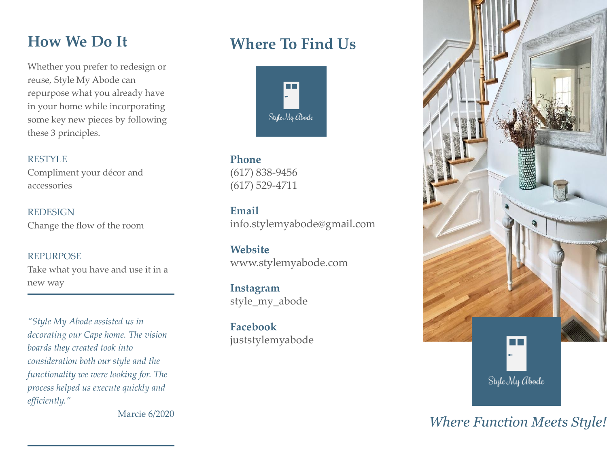## **How We Do It**

Whether you prefer to redesign or reuse, Style My Abode can repurpose what you already have in your home while incorporating some key new pieces by following these 3 principles.

#### RESTYLE

Compliment your décor and accessories

REDESIGN Change the flow of the room

#### REPURPOSE

Take what you have and use it in a new way

*"Style My Abode assisted us in decorating our Cape home. The vision boards they created took into consideration both our style and the functionality we were looking for. The process helped us execute quickly and efficiently."*

Marcie 6/2020

## **Where To Find Us**



**Phone** (617) 838-9456 (617) 529-4711

**Email** info.stylemyabode@gmail.com

**Website** www.stylemyabode.com

**Instagram** style\_my\_abode

**Facebook** juststylemyabode



*Where Function Meets Style!*